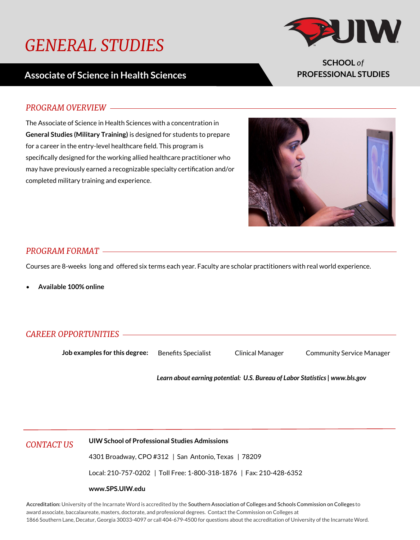# *GENERAL STUDIES*

## **Associate of Science in Health Sciences**



**SCHOOL** *of* **PROFESSIONAL STUDIES**

#### *PROGRAM OVERVIEW*

The Associate of Science in Health Sciences with a concentration in **General Studies (Military Training)** is designed for students to prepare for a career in the entry-level healthcare field. This program is specifically designed for the working allied healthcare practitioner who may have previously earned a recognizable specialty certification and/or completed military training and experience.



#### *PROGRAM FORMAT*

Courses are 8-weeks long and offered six terms each year. Faculty are scholar practitioners with real world experience.

**Available 100% online** 

### *CAREER OPPORTUNITIES*

**Job examples for this degree:** Benefits Specialist Clinical Manager Community Service Manager

*Learn about earning potential: U.S. Bureau of Labor Statistics | www.bls.gov*

*CONTACT US* **UIW School of Professional Studies Admissions**

4301 Broadway, CPO #312 | San Antonio, Texas | 78209

Local: 210-757-0202 | Toll Free: 1-800-318-1876 | Fax: 210-428-6352

#### **www.SPS.UIW.edu**

**Accreditation:** University of the Incarnate Word is accredited by the Southern Association of Colleges and Schools Commission on Colleges to award associate, baccalaureate, masters, doctorate, and professional degrees. Contact the Commission on Colleges at 1866 Southern Lane, Decatur, Georgia 30033-4097 or call 404-679-4500 for questions about the accreditation of University of the Incarnate Word.